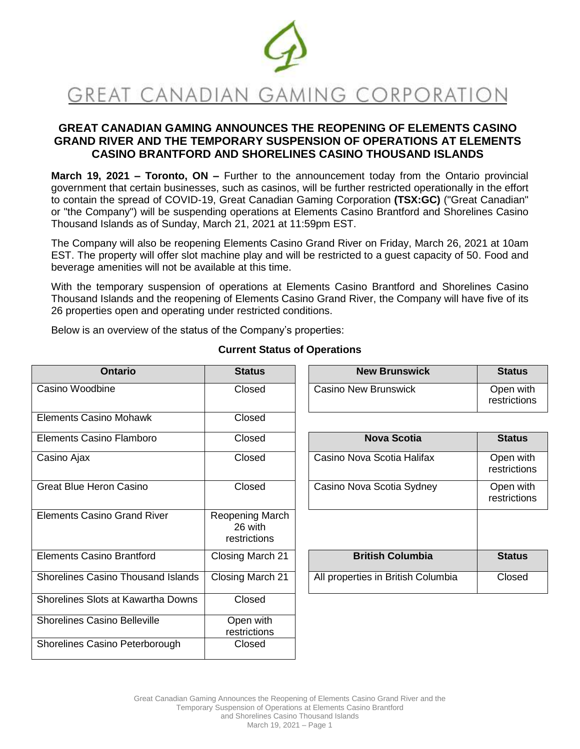

# **GREAT CANADIAN GAMING ANNOUNCES THE REOPENING OF ELEMENTS CASINO GRAND RIVER AND THE TEMPORARY SUSPENSION OF OPERATIONS AT ELEMENTS CASINO BRANTFORD AND SHORELINES CASINO THOUSAND ISLANDS**

**March 19, 2021 – Toronto, ON –** Further to the announcement today from the Ontario provincial government that certain businesses, such as casinos, will be further restricted operationally in the effort to contain the spread of COVID-19, Great Canadian Gaming Corporation **(TSX:GC)** ("Great Canadian" or "the Company") will be suspending operations at Elements Casino Brantford and Shorelines Casino Thousand Islands as of Sunday, March 21, 2021 at 11:59pm EST.

The Company will also be reopening Elements Casino Grand River on Friday, March 26, 2021 at 10am EST. The property will offer slot machine play and will be restricted to a guest capacity of 50. Food and beverage amenities will not be available at this time.

With the temporary suspension of operations at Elements Casino Brantford and Shorelines Casino Thousand Islands and the reopening of Elements Casino Grand River, the Company will have five of its 26 properties open and operating under restricted conditions.

Below is an overview of the status of the Company's properties:

| <b>Ontario</b>                            | <b>Status</b>                              | <b>New Brunswick</b>               | <b>Status</b>             |
|-------------------------------------------|--------------------------------------------|------------------------------------|---------------------------|
| Casino Woodbine                           | Closed                                     | Casino New Brunswick               | Open with<br>restrictions |
| <b>Elements Casino Mohawk</b>             | Closed                                     |                                    |                           |
| Elements Casino Flamboro                  | Closed                                     | <b>Nova Scotia</b>                 | <b>Status</b>             |
| Casino Ajax                               | Closed                                     | Casino Nova Scotia Halifax         | Open with<br>restrictions |
| <b>Great Blue Heron Casino</b>            | Closed                                     | Casino Nova Scotia Sydney          | Open with<br>restrictions |
| <b>Elements Casino Grand River</b>        | Reopening March<br>26 with<br>restrictions |                                    |                           |
| <b>Elements Casino Brantford</b>          | Closing March 21                           | <b>British Columbia</b>            | <b>Status</b>             |
| <b>Shorelines Casino Thousand Islands</b> | Closing March 21                           | All properties in British Columbia | Closed                    |
| Shorelines Slots at Kawartha Downs        | Closed                                     |                                    |                           |
| <b>Shorelines Casino Belleville</b>       | Open with<br>restrictions                  |                                    |                           |
| Shorelines Casino Peterborough            | Closed                                     |                                    |                           |
|                                           |                                            |                                    |                           |

## **Current Status of Operations**